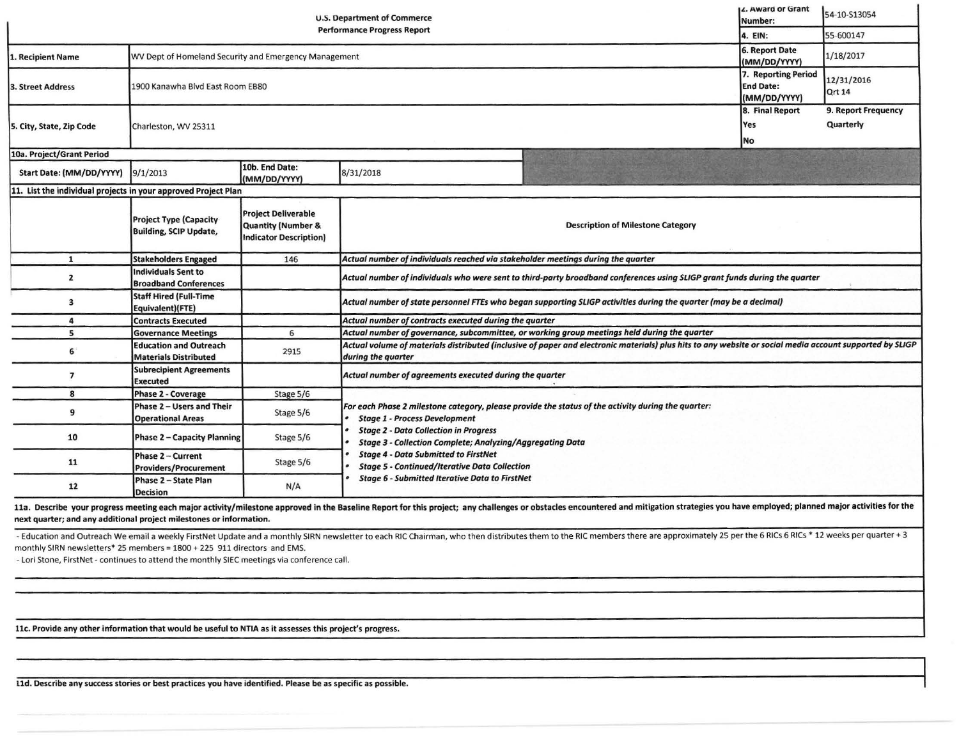|                                                                | c. Mwaru vi viant<br>Number:                                   | 54-10-S13054                                                                      |                                                                                                                                                                                                                                |                                                         |                                  |
|----------------------------------------------------------------|----------------------------------------------------------------|-----------------------------------------------------------------------------------|--------------------------------------------------------------------------------------------------------------------------------------------------------------------------------------------------------------------------------|---------------------------------------------------------|----------------------------------|
|                                                                |                                                                | 4. EIN:                                                                           | 55-600147                                                                                                                                                                                                                      |                                                         |                                  |
| 1. Recipient Name                                              | WV Dept of Homeland Security and Emergency Management          |                                                                                   |                                                                                                                                                                                                                                | 6. Report Date<br>(MM/DD/YYYY)                          | 1/18/2017                        |
| <b>3. Street Address</b>                                       | 1900 Kanawha Blvd East Room EB80                               |                                                                                   |                                                                                                                                                                                                                                | 7. Reporting Period<br><b>End Date:</b><br>(MM/DD/YYYY) | 12/31/2016<br>Qrt 14             |
| 5. City, State, Zip Code                                       | Charleston, WV 25311                                           |                                                                                   |                                                                                                                                                                                                                                | 8. Final Report<br>Yes<br>No                            | 9. Report Frequency<br>Quarterly |
| 10a. Project/Grant Period                                      |                                                                |                                                                                   |                                                                                                                                                                                                                                |                                                         |                                  |
| Start Date: (MM/DD/YYYY)                                       | 9/1/2013                                                       | 10b. End Date:<br>(MM/DD/YYYY)                                                    | 8/31/2018                                                                                                                                                                                                                      |                                                         |                                  |
| 11. List the individual projects in your approved Project Plan |                                                                |                                                                                   |                                                                                                                                                                                                                                |                                                         |                                  |
|                                                                | <b>Project Type (Capacity</b><br><b>Building, SCIP Update,</b> | <b>Project Deliverable</b><br>Quantity (Number &<br><b>Indicator Description)</b> | <b>Description of Milestone Category</b>                                                                                                                                                                                       |                                                         |                                  |
| 1                                                              | <b>Stakeholders Engaged</b>                                    | 146                                                                               | Actual number of individuals reached via stakeholder meetings during the quarter                                                                                                                                               |                                                         |                                  |
| $\mathbf{z}$                                                   | <b>Individuals Sent to</b><br><b>Broadband Conferences</b>     |                                                                                   | Actual number of individuals who were sent to third-party broadband conferences using SLIGP grant funds during the quarter                                                                                                     |                                                         |                                  |
| 3                                                              | <b>Staff Hired (Full-Time</b><br>Equivalent)(FTE)              |                                                                                   | Actual number of state personnel FTEs who began supporting SLIGP activities during the quarter (may be a decimal)                                                                                                              |                                                         |                                  |
| 4                                                              | <b>Contracts Executed</b>                                      |                                                                                   | Actual number of contracts executed during the quarter                                                                                                                                                                         |                                                         |                                  |
| 5                                                              | <b>Governance Meetings</b>                                     | 6                                                                                 | Actual number of governance, subcommittee, or working group meetings held during the quarter                                                                                                                                   |                                                         |                                  |
| 6                                                              | <b>Education and Outreach</b><br><b>Materials Distributed</b>  | 2915                                                                              | Actual volume of materials distributed (inclusive of paper and electronic materials) plus hits to any website or social media account supported by SLIGP<br>during the quarter                                                 |                                                         |                                  |
| $\overline{7}$                                                 | <b>Subrecipient Agreements</b><br><b>Executed</b>              |                                                                                   | Actual number of agreements executed during the quarter                                                                                                                                                                        |                                                         |                                  |
| 8                                                              | <b>Phase 2 - Coverage</b>                                      | Stage 5/6                                                                         |                                                                                                                                                                                                                                |                                                         |                                  |
| 9                                                              | Phase 2 - Users and Their<br><b>Operational Areas</b>          | Stage 5/6                                                                         | For each Phase 2 milestone category, please provide the status of the activity during the quarter:<br><b>Stage 1 - Process Development</b>                                                                                     |                                                         |                                  |
| 10                                                             | Phase 2 - Capacity Planning                                    | Stage 5/6                                                                         | <b>Stage 2 - Data Collection in Progress</b><br><b>Stage 3 - Collection Complete; Analyzing/Aggregating Data</b>                                                                                                               |                                                         |                                  |
| 11                                                             | Phase 2 - Current<br><b>Providers/Procurement</b>              | Stage 5/6                                                                         | <b>Stage 4 - Data Submitted to FirstNet</b><br><b>Stage 5 - Continued/Iterative Data Collection</b>                                                                                                                            |                                                         |                                  |
| 12                                                             | Phase 2 - State Plan<br><b>Decision</b>                        | N/A                                                                               | <b>Stage 6 - Submitted Iterative Data to FirstNet</b>                                                                                                                                                                          |                                                         |                                  |
|                                                                |                                                                |                                                                                   | 11a. Describe your progress meeting each major activity/milestone approved in the Baseline Report for this project; any challenges or obstacles encountered and mitigation strategies you have employed; planned major activit |                                                         |                                  |

next quarter; and any additional project milestones or Information.

- Education and Outreach We email a weekly FirstNet Update and a monthly SIRN newsletter to each RIC Chairman, who then distributes them to the RIC members there are approximately 25 per the 6 RICs 6 RICs \* 12 weeks per qu monthly SIRN newsletters\* 25 members= 1800 + 225 911 directors and EMS.

• Lori Stone, FirstNet • continues to attend the monthly SIEC meetings via conference call.

llc. Provide any other Information that would be useful to NTIA as it assesses this project's progress.

l ld. Describe any success stories or best practices you have identified. Please be as specific as possible.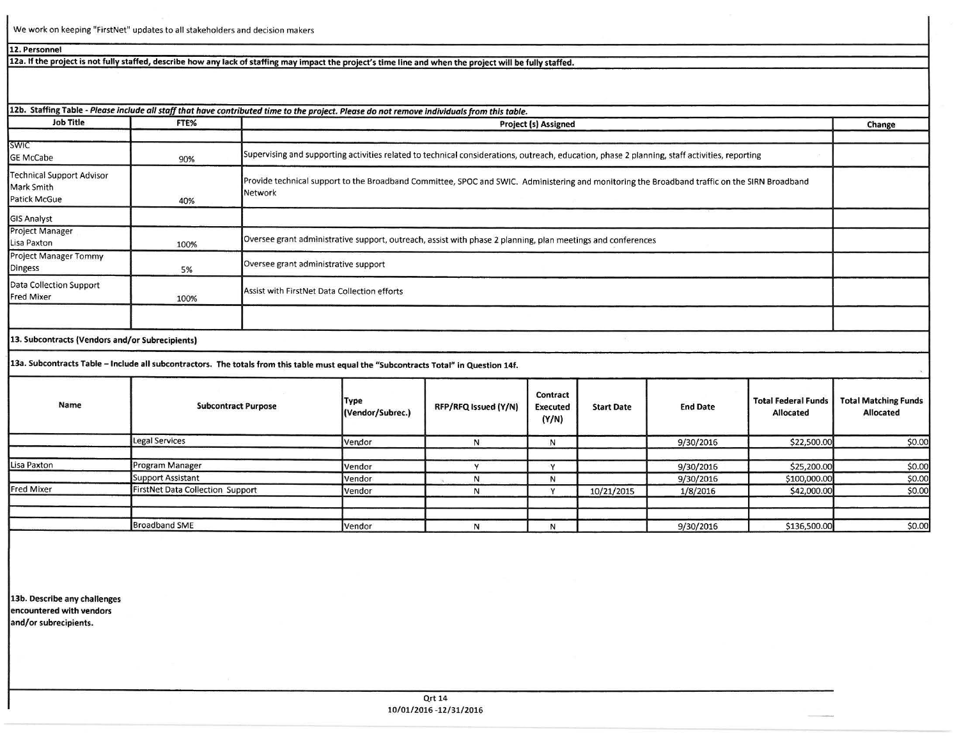We work on keeping "FirstNet" updates to all stakeholders and decision makers

## **12. Personnel**

12a. If the project is not fully staffed, describe how any lack of staffing may impact the project's time line and when the project will be fully staffed.

| <b>Job Title</b>                                               | FTE% | 12b. Staffing Table - Please include all staff that have contributed time to the project. Please do not remove individuals from this table.              |        |
|----------------------------------------------------------------|------|----------------------------------------------------------------------------------------------------------------------------------------------------------|--------|
|                                                                |      | <b>Project (s) Assigned</b>                                                                                                                              | Change |
| <b>SWIC</b><br><b>GE McCabe</b>                                | 90%  | Supervising and supporting activities related to technical considerations, outreach, education, phase 2 planning, staff activities, reporting            |        |
| <b>Technical Support Advisor</b><br>Mark Smith<br>Patick McGue | 40%  | Provide technical support to the Broadband Committee, SPOC and SWIC. Administering and monitoring the Broadband traffic on the SIRN Broadband<br>Network |        |
| <b>GIS Analyst</b>                                             |      |                                                                                                                                                          |        |
| Project Manager<br>Lisa Paxton                                 | 100% | Oversee grant administrative support, outreach, assist with phase 2 planning, plan meetings and conferences                                              |        |
| Project Manager Tommy<br>Dingess                               | 5%   | Oversee grant administrative support                                                                                                                     |        |
| Data Collection Support<br><b>Fred Mixer</b>                   | 100% | Assist with FirstNet Data Collection efforts                                                                                                             |        |
|                                                                |      |                                                                                                                                                          |        |
| 13. Subcontracts (Vendors and/or Subrecipients)                |      |                                                                                                                                                          |        |

**13a. Subcontracts Table** - **Include all subcontractors. The totals from this table must equal the "Subcontracts Total" in Question 14f.** 

| Name              | <b>Subcontract Purpose</b>       | Type<br>(Vendor/Subrec.) | RFP/RFQ Issued (Y/N) | Contract<br><b>Executed</b><br>(Y/N) | <b>Start Date</b> | <b>End Date</b> | <b>Total Federal Funds</b><br>Allocated | <b>Total Matching Funds</b><br>Allocated |
|-------------------|----------------------------------|--------------------------|----------------------|--------------------------------------|-------------------|-----------------|-----------------------------------------|------------------------------------------|
|                   | Legal Services                   | Vendor                   |                      | N                                    |                   | 9/30/2016       | \$22,500.00                             | \$0.00                                   |
| Lisa Paxton       | Program Manager                  | Vendor                   |                      |                                      |                   | 9/30/2016       | \$25,200.00                             | \$0.00                                   |
|                   | Support Assistant                | Vendor                   |                      | N                                    |                   | 9/30/2016       | \$100,000.00                            | \$0.00                                   |
| <b>Fred Mixer</b> | FirstNet Data Collection Support | Vendor                   | N                    |                                      | 10/21/2015        | 1/8/2016        | \$42,000.00                             | \$0.00                                   |
|                   |                                  |                          |                      |                                      |                   |                 |                                         |                                          |
|                   | <b>Broadband SME</b>             | Vendor                   | Ν                    | N                                    |                   | 9/30/2016       | \$136,500.00                            | \$0.00                                   |

**13b. Describe any challenges encountered with vendors and/or subrecipients.**